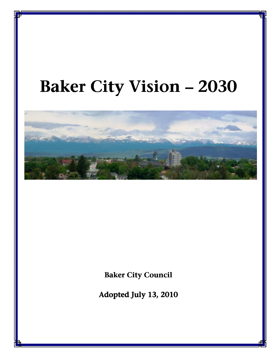# Baker City Vision **–** 2030



**Baker City Council** 

Adopted July 13, 2010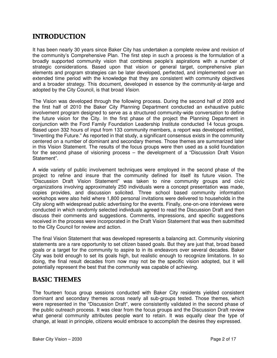# INTRODUCTION

It has been nearly 30 years since Baker City has undertaken a complete review and revision of the community's Comprehensive Plan. The first step in such a process is the formulation of a broadly supported community vision that combines people's aspirations with a number of strategic considerations. Based upon that vision or general target, comprehensive plan elements and program strategies can be later developed, perfected, and implemented over an extended time period with the knowledge that they are consistent with community objectives and a broader strategy. This document, developed in essence by the community-at-large and adopted by the City Council, is that broad Vision.

The Vision was developed through the following process. During the second half of 2009 and the first half of 2010 the Baker City Planning Department conducted an exhaustive public involvement program designed to serve as a structured community-wide conversation to define the future vision for the City. In the first phase of the project the Planning Department in conjunction with the Ford Family Foundation Leadership Institute conducted 14 focus groups. Based upon 332 hours of input from 133 community members, a report was developed entitled, "Inventing the Future." As reported in that study, a significant consensus exists in the community centered on a number of dominant and secondary themes. Those themes are summarized later in this Vision Statement. The results of the focus groups were then used as a solid foundation for the second phase of visioning process – the development of a "Discussion Draft Vision Statement".

A wide variety of public involvement techniques were employed in the second phase of the project to refine and insure that the community defined for itself its future vision. The "Discussion Draft Vision Statement" was taken to nine community groups and civic organizations involving approximately 250 individuals were a concept presentation was made, copies provides, and discussion solicited. Three school based community information workshops were also held where 1,800 personal invitations were delivered to households in the City along with widespread public advertising for the events. Finally, one-on-one interviews were conducted in which randomly selected individuals agreed to read the Discussion Draft and then discuss their comments and suggestions. Comments, impressions, and specific suggestions received in the process were incorporated in the Draft Vision Statement that was then submitted to the City Council for review and action.

The final Vision Statement that was developed represents a balancing act. Community visioning statements are a rare opportunity to set citizen based goals. But they are just that, broad based goals or a target for the community to aspire to in its endeavors over several decades. Baker City was bold enough to set its goals high, but realistic enough to recognize limitations. In so doing, the final result decades from now may not be the specific vision adopted, but it will potentially represent the best that the community was capable of achieving.

# **BASIC THEMES**

The fourteen focus group sessions conducted with Baker City residents yielded consistent dominant and secondary themes across nearly all sub-groups tested. Those themes, which were represented in the "Discussion Draft", were consistently validated in the second phase of the public outreach process. It was clear from the focus groups and the Discussion Draft review what general community attributes people want to retain. It was equally clear the type of change, at least in principle, citizens would embrace to accomplish the desires they expressed.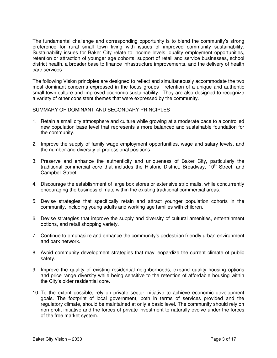The fundamental challenge and corresponding opportunity is to blend the community's strong preference for rural small town living with issues of improved community sustainability. Sustainability issues for Baker City relate to income levels, quality employment opportunities, retention or attraction of younger age cohorts, support of retail and service businesses, school district health, a broader base to finance infrastructure improvements, and the delivery of health care services.

The following Vision principles are designed to reflect and simultaneously accommodate the two most dominant concerns expressed in the focus groups - retention of a unique and authentic small town culture and improved economic sustainability. They are also designed to recognize a variety of other consistent themes that were expressed by the community.

#### SUMMARY OF DOMINANT AND SECONDARY PRINCIPLES

- 1. Retain a small city atmosphere and culture while growing at a moderate pace to a controlled new population base level that represents a more balanced and sustainable foundation for the community.
- 2. Improve the supply of family wage employment opportunities, wage and salary levels, and the number and diversity of professional positions.
- 3. Preserve and enhance the authenticity and uniqueness of Baker City, particularly the traditional commercial core that includes the Historic District, Broadway,  $10<sup>th</sup>$  Street, and Campbell Street.
- 4. Discourage the establishment of large box stores or extensive strip malls, while concurrently encouraging the business climate within the existing traditional commercial areas.
- 5. Devise strategies that specifically retain and attract younger population cohorts in the community, including young adults and working age families with children.
- 6. Devise strategies that improve the supply and diversity of cultural amenities, entertainment options, and retail shopping variety.
- 7. Continue to emphasize and enhance the community's pedestrian friendly urban environment and park network.
- 8. Avoid community development strategies that may jeopardize the current climate of public safety.
- 9. Improve the quality of existing residential neighborhoods, expand quality housing options and price range diversity while being sensitive to the retention of affordable housing within the City's older residential core.
- 10. To the extent possible, rely on private sector initiative to achieve economic development goals. The footprint of local government, both in terms of services provided and the regulatory climate, should be maintained at only a basic level. The community should rely on non-profit initiative and the forces of private investment to naturally evolve under the forces of the free market system.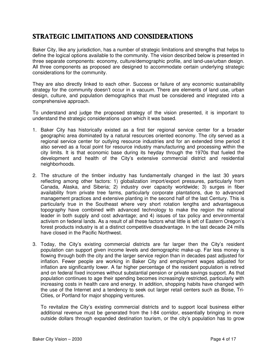# STRATEGIC LIMITATIONS AND CONSIDERATIONS

Baker City, like any jurisdiction, has a number of strategic limitations and strengths that helps to define the logical options available to the community. The vision described below is presented in three separate components: economy, culture/demographic profile, and land-use/urban design. All three components as proposed are designed to accommodate certain underlying strategic considerations for the community.

They are also directly linked to each other. Success or failure of any economic sustainability strategy for the community doesn't occur in a vacuum. There are elements of land use, urban design, culture, and population demographics that must be considered and integrated into a comprehensive approach.

To understand and judge the proposed strategy of the vision presented, it is important to understand the strategic considerations upon which it was based.

- 1. Baker City has historically existed as a first tier regional service center for a broader geographic area dominated by a natural resources oriented economy. The city served as a regional service center for outlying resource industries and for an extended time period it also served as a focal point for resource industry manufacturing and processing within the city limits. It is that economic base during its heyday through the 1970s that fueled the development and health of the City's extensive commercial district and residential neighborhoods.
- 2. The structure of the timber industry has fundamentally changed in the last 30 years reflecting among other factors: 1) globalization import/export pressures, particularly from Canada, Alaska, and Siberia; 2) industry over capacity worldwide; 3) surges in fiber availability from private tree farms, particularly corporate plantations, due to advanced management practices and extensive planting in the second half of the last Century. This is particularly true in the Southeast where very short rotation lengths and advantageous topography have combined with advanced technology to make the region the national leader in both supply and cost advantage; and 4) issues of tax policy and environmental activism on federal lands. As a result of all these factors what little is left of Eastern Oregon's forest products industry is at a distinct competitive disadvantage. In the last decade 24 mills have closed in the Pacific Northwest.
- 3. Today, the City's existing commercial districts are far larger then the City's resident population can support given income levels and demographic make-up. Far less money is flowing through both the city and the larger service region than in decades past adjusted for inflation. Fewer people are working in Baker City and employment wages adjusted for inflation are significantly lower. A far higher percentage of the resident population is retired and on federal fixed incomes without substantial pension or private savings support. As that population continues to age their spending becomes increasingly restricted, particularly with increasing costs in health care and energy. In addition, shopping habits have changed with the use of the Internet and a tendency to seek out larger retail centers such as Boise, Tri-Cities, or Portland for major shopping ventures.

To revitalize the City's existing commercial districts and to support local business either additional revenue must be generated from the I-84 corridor, essentially bringing in more outside dollars through expanded destination tourism, or the city's population has to grow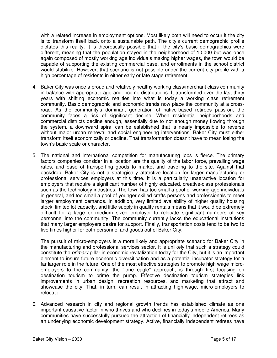with a related increase in employment options. Most likely both will need to occur if the city is to transform itself back onto a sustainable path. The city's current demographic profile dictates this reality. It is theoretically possible that if the city's basic demographics were different, meaning that the population stayed in the neighborhood of 10,000 but was once again composed of mostly working age individuals making higher wages, the town would be capable of supporting the existing commercial base, and enrollments in the school district would stabilize. However, that scenario is not possible under the current city profile with a high percentage of residents in either early or late stage retirement.

- 4. Baker City was once a proud and relatively healthy working class/merchant class community in balance with appropriate age and income distributions. It transformed over the last thirty years with shifting economic realities into what is today a working class retirement community. Basic demographic and economic trends now place the community at a crossroad. As the community's dominant generation of native-based retirees pass-on, the community faces a risk of significant decline. When residential neighborhoods and commercial districts decline enough, essentially due to not enough money flowing through the system, a downward spiral can be established that is nearly impossible to reverse without major urban renewal and social engineering interventions. Baker City must either transform itself economically or decline. That transformation doesn't have to mean losing the town's basic scale or character.
- 5. The national and international competition for manufacturing jobs is fierce. The primary factors companies consider in a location are the quality of the labor force, prevailing wage rates, and ease of transporting goods to market and traveling to the site. Against that backdrop, Baker City is not a strategically attractive location for larger manufacturing or professional services employers at this time. It is a particularly unattractive location for employers that require a significant number of highly educated, creative-class professionals such as the technology industries. The town has too small a pool of working age individuals in general, and too small a pool of younger skilled crafts persons and professionals to meet larger employment demands. In addition, very limited availability of higher quality housing stock, limited lot capacity, and little supply in quality rentals means that it would be extremely difficult for a large or medium sized employer to relocate significant numbers of key personnel into the community. The community currently lacks the educational institutions that many larger employers desire for support. Finally, transportation costs tend to be two to five times higher for both personnel and goods out of Baker City.

The pursuit of micro-employers is a more likely and appropriate scenario for Baker City in the manufacturing and professional services sector. It is unlikely that such a strategy could constitute the *primary* pillar in economic revitalization today for the City, but it is an important element to insure future economic diversification and as a potential incubator strategy for a far larger role in the future. One of the most effective strategies to promote high wage microemployers to the community, the "lone eagle" approach, is through first focusing on destination tourism to prime the pump. Effective destination tourism strategies link improvements in urban design, recreation resources, and marketing that attract and showcase the city. That, in turn, can result in attracting high-wage, micro-employers to relocate.

6. Advanced research in city and regional growth trends has established climate as one important causative factor in who thrives and who declines in today's mobile America. Many communities have successfully pursued the attraction of financially independent retirees as an underlying economic development strategy. Active, financially independent retirees have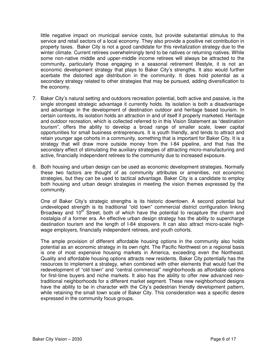little negative impact on municipal service costs, but provide substantial stimulus to the service and retail sectors of a local economy. They also provide a positive net contribution in property taxes. Baker City is not a good candidate for this revitalization strategy due to the winter climate. Current retirees overwhelmingly tend to be natives or returning natives. While some non-native middle and upper-middle income retirees will always be attracted to the community, particularly those engaging in a seasonal retirement lifestyle, it is not an economic development strategy that plays to Baker City's strengths. It also would further acerbate the distorted age distribution in the community. It does hold potential as a secondary strategy related to other strategies that may be pursued, adding diversification to the economy.

- 7. Baker City's natural setting and outdoors recreation potential, both active and passive, is the single strongest strategic advantage it currently holds. Its isolation is both a disadvantage and advantage in the development of destination outdoor and heritage based tourism. In certain contexts, its isolation holds an attraction in and of itself if properly marketed. Heritage and outdoor recreation, which is collected referred to in this Vision Statement as "destination tourism", offers the ability to develop a broad range of smaller scale, lower capital opportunities for small business entrepreneurs. It is youth friendly, and tends to attract and retain younger age cohorts in a community, something that is important for Baker City. It is a strategy that will draw more outside money from the I-84 pipeline, and that has the secondary effect of stimulating the auxiliary strategies of attracting micro-manufacturing and active, financially independent retirees to the community due to increased exposure.
- 8. Both housing and urban design can be used as economic development strategies. Normally these two factors are thought of as community attributes or amenities, not economic strategies, but they can be used to tactical advantage. Baker City is a candidate to employ both housing and urban design strategies in meeting the vision themes expressed by the community.

One of Baker City's strategic strengths is its historic downtown. A second potential but undeveloped strength is its traditional "old town" commercial district configuration linking Broadway and  $10<sup>th</sup>$  Street, both of which have the potential to recapture the charm and nostalgia of a former era. An effective urban design strategy has the ability to supercharge destination tourism and the length of I-84 stopovers. It can also attract micro-scale highwage employers, financially independent retirees, and youth cohorts.

The ample provision of different affordable housing options in the community also holds potential as an economic strategy in its own right. The Pacific Northwest on a regional basis is one of most expensive housing markets in America, exceeding even the Northeast. Quality and affordable housing options attracts new residents. Baker City potentially has the resources to implement a strategy, when combined with other elements that would fuel the redevelopment of "old town" and "central commercial" neighborhoods as affordable options for first-time buyers and niche markets. It also has the ability to offer new advanced neotraditional neighborhoods for a different market segment. These new neighborhood designs have the ability to be in character with the City's pedestrian friendly development pattern, while retaining the small town scale of Baker City. This consideration was a specific desire expressed in the community focus groups.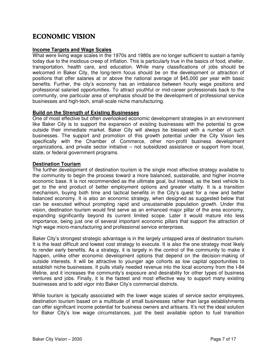# ECONOMIC VISION

#### **Income Targets and Wage Scales**

What were living wage scales in the 1970s and 1980s are no longer sufficient to sustain a family today due to the insidious creep of inflation. This is particularly true in the basics of food, shelter, transportation, health care, and education. While many classifications of jobs should be welcomed in Baker City, the long-term focus should be on the development or attraction of positions that offer salaries at or above the national average of \$45,000 per year with basic benefits. Further, the city's economy has an imbalance between hourly wage positions and professional salaried opportunities. To attract youthful or mid-career professionals back to the community, one particular area of emphasis should be the development of professional service businesses and high-tech, small-scale niche manufacturing.

#### **Build on the Strength of Existing Businesses**

One of most effective but often overlooked economic development strategies in an environment like Baker City is to support the expansion of existing businesses with the potential to grow outside their immediate market. Baker City will always be blessed with a number of such businesses. The support and promotion of this growth potential under the City Vision lies specifically with the Chamber of Commerce, other non-profit business development organizations, and private sector initiative – not subsidized assistance or support from local, state, or federal government programs.

#### **Destination Tourism**

The further development of destination tourism is the single most effective strategy available to the community to begin the process toward a more balanced, sustainable, and higher income economic base. It is not recommended as the ultimate goal, but instead, as the best vehicle to get to the end product of better employment options and greater vitality. It is a transition mechanism, buying both time and tactical benefits in the City's quest for a new and better balanced economy. It is also an economic strategy, when designed as suggested below that can be executed without prompting rapid and unsustainable population growth. Under this vision, destination tourism would first serve as an enhanced major pillar of the area economy, expanding significantly beyond its current limited scope. Later it would mature into less importance, being just one of several important economic pillars that support the attraction of high wage micro-manufacturing and professional service enterprises.

Baker City's strongest strategic advantage is in the largely untapped area of destination tourism. It is the least difficult and lowest cost strategy to execute. It is also the one strategy most likely to render early benefits. As a strategy, it is largely in the control of the community to make it happen, unlike other economic development options that depend on the decision-making of outside interests. It will be attractive to younger age cohorts as low capital opportunities to establish niche businesses. It pulls vitally needed revenue into the local economy from the I-84 lifeline, and it increases the community's exposure and desirability for other types of business ventures and jobs. Finally, it is the fastest and most effective way to support many existing businesses and to add vigor into Baker City's commercial districts.

While tourism is typically associated with the lower wage scales of service sector employees, destination tourism based on a multitude of small businesses rather than large establishments can offer significant income potential for business owners and artisans. It's not the ideal solution for Baker City's low wage circumstances, just the best available option to fuel transition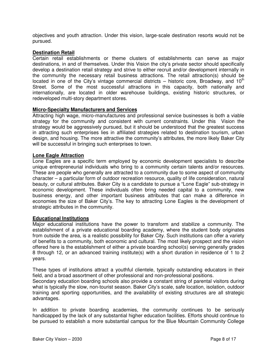objectives and youth attraction. Under this vision, large-scale destination resorts would not be pursued.

#### **Destination Retail**

Certain retail establishments or theme clusters of establishments can serve as major destinations, in and of themselves. Under this Vision the city's private sector should specifically develop a destination retail strategy and strive to either recruit and/or development internally in the community the necessary retail business attractions. The retail attraction(s) should be located in one of the City's vintage commercial districts – historic core, Broadway, and  $10<sup>th</sup>$ Street. Some of the most successful attractions in this capacity, both nationally and internationally, are located in older warehouse buildings, existing historic structures, or redeveloped multi-story department stores.

#### **Micro-Specialty Manufacturers and Services**

Attracting high wage, micro-manufactures and professional service businesses is both a viable strategy for the community and consistent with current constraints. Under this Vision the strategy would be aggressively pursued, but it should be understood that the greatest success in attracting such enterprises lies in affiliated strategies related to destination tourism, urban design, and housing. The more attractive the community's attributes, the more likely Baker City will be successful in bringing such enterprises to town.

#### **Lone Eagle Attraction**

Lone Eagles are a specific term employed by economic development specialists to describe unique entrepreneurial individuals who bring to a community certain talents and/or resources. These are people who generally are attracted to a community due to some aspect of community character – a particular form of outdoor recreation resource, quality of life consideration, natural beauty, or cultural attributes. Baker City is a candidate to pursue a "Lone Eagle" sub-strategy in economic development. These individuals often bring needed capital to a community, new business energy, and other important business attributes that can make a difference in economies the size of Baker City's. The key to attracting Lone Eagles is the development of strategic attributes in the community.

#### **Educational Institutions**

Major educational institutions have the power to transform and stabilize a community. The establishment of a private educational boarding academy, where the student body originates from outside the area, is a realistic possibility for Baker City. Such institutions can offer a variety of benefits to a community, both economic and cultural. The most likely prospect and the vision offered here is the establishment of either a private boarding school(s) serving generally grades 8 through 12, or an advanced training institute(s) with a short duration in residence of 1 to 2 years.

These types of institutions attract a youthful clientele, typically outstanding educators in their field, and a broad assortment of other professional and non-professional positions.

Secondary education boarding schools also provide a constant string of parental visitors during what is typically the slow, non-tourist season. Baker City's scale, safe location, isolation, outdoor training and sporting opportunities, and the availability of existing structures are all strategic advantages.

In addition to private boarding academies, the community continues to be seriously handicapped by the lack of any substantial higher education facilities. Efforts should continue to be pursued to establish a more substantial campus for the Blue Mountain Community College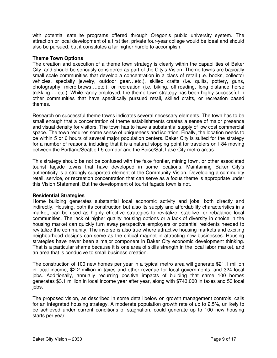with potential satellite programs offered through Oregon's public university system. The attraction or local development of a first tier, private four-year college would be ideal and should also be pursued, but it constitutes a far higher hurdle to accomplish.

### **Theme Town Options**

The creation and execution of a theme town strategy is clearly within the capabilities of Baker City, and should be seriously considered as part of the City's Vision. Theme towns are basically small scale communities that develop a concentration in a class of retail (i.e. books, collector vehicles, specialty jewelry, outdoor gear…etc.), skilled crafts (i.e. quilts, pottery, guns, photography, micro-brews….etc.), or recreation (i.e. biking, off-roading, long distance horse trekking…..etc.). While rarely employed, the theme town strategy has been highly successful in other communities that have specifically pursued retail, skilled crafts, or recreation based themes.

Research on successful theme towns indicates several necessary elements. The town has to be small enough that a concentration of theme establishments creates a sense of major presence and visual density for visitors. The town has to have a substantial supply of low cost commercial space. The town requires some sense of uniqueness and isolation. Finally, the location needs to be within 5 or 6 hours of several major population centers. Baker City is suited for the strategy for a number of reasons, including that it is a natural stopping point for travelers on I-84 moving between the Portland/Seattle I-5 corridor and the Boise/Salt Lake City metro areas.

This strategy should be not be confused with the fake frontier, mining town, or other associated tourist façade towns that have developed in some locations. Maintaining Baker City's authenticity is a strongly supported element of the Community Vision. Developing a community retail, service, or recreation concentration that can serve as a focus theme is appropriate under this Vision Statement. But the development of tourist façade town is not.

## **Residential Strategies**

Home building generates substantial local economic activity and jobs, both directly and indirectly. Housing, both its construction but also its supply and affordability characteristics in a market, can be used as highly effective strategies to revitalize, stabilize, or rebalance local communities. The lack of higher quality housing options or a lack of diversity in choice in the housing market can quickly turn away perspective employers or potential residents needed to revitalize the community. The inverse is also true where attractive housing markets and exciting neighborhood designs can serve as the critical magnet in attracting new businesses. Housing strategies have never been a major component in Baker City economic development thinking. That is a particular shame because it is one area of skills strength in the local labor market, and an area that is conducive to small business creation.

The construction of 100 new homes per year in a typical metro area will generate \$21.1 million in local income, \$2.2 million in taxes and other revenue for local governments, and 324 local jobs. Additionally, annually recurring positive impacts of building that same 100 homes generates \$3.1 million in local income year after year, along with \$743,000 in taxes and 53 local jobs.

The proposed vision, as described in some detail below on growth management controls, calls for an integrated housing strategy. A moderate population growth rate of up to 2.5%, unlikely to be achieved under current conditions of stagnation, could generate up to 100 new housing starts per year.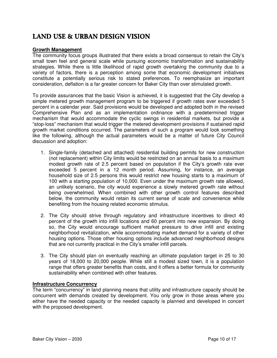# LAND USE & URBAN DESIGN VISION

## **Growth Management**

The community focus groups illustrated that there exists a broad consensus to retain the City's small town feel and general scale while pursuing economic transformation and sustainability strategies. While there is little likelihood of rapid growth overtaking the community due to a variety of factors, there is a perception among some that economic development initiatives constitute a potentially serious risk to stated preferences. To reemphasize an important consideration, deflation is a far greater concern for Baker City than over stimulated growth.

To provide assurances that the basic Vision is achieved, it is suggested that the City develop a simple metered growth management program to be triggered if growth rates ever exceeded 5 percent in a calendar year. Said provisions would be developed and adopted both in the revised Comprehensive Plan and as an implementation ordinance with a predetermined trigger mechanism that would accommodate the cyclic swings in residential markets, but provide a "stop-loss" mechanism that would trigger the metered development provisions if sustained rapid growth market conditions occurred. The parameters of such a program would look something like the following, although the actual parameters would be a matter of future City Council discussion and adoption:

- 1. Single-family (detached and attached) residential building permits for new construction (not replacement) within City limits would be restricted on an annual basis to a maximum modest growth rate of 2.5 percent based on population if the City's growth rate ever exceeded 5 percent in a 12 month period. Assuming, for instance, an average household size of 2.5 persons this would restrict new housing starts to a maximum of 100 with a starting population of 10,000. Even under the maximum growth rate allowed, an unlikely scenario, the city would experience a slowly metered growth rate without being overwhelmed. When combined with other growth control features described below, the community would retain its current sense of scale and convenience while benefiting from the housing related economic stimulus.
- 2. The City should strive through regulatory and infrastructure incentives to direct 40 percent of the growth into infill locations and 60 percent into new expansion. By doing so, the City would encourage sufficient market pressure to drive infill and existing neighborhood revitalization, while accommodating market demand for a variety of other housing options. Those other housing options include advanced neighborhood designs that are not currently practical in the City's smaller infill parcels.
- 3. The City should plan on eventually reaching an ultimate population target in 25 to 30 years of 18,000 to 20,000 people. While still a modest sized town, it is a population range that offers greater benefits than costs, and it offers a better formula for community sustainability when combined with other features.

## **Infrastructure Concurrency**

The term "concurrency" in land planning means that utility and infrastructure capacity should be concurrent with demands created by development. You only grow in those areas where you either have the needed capacity or the needed capacity is planned and developed in concert with the proposed development.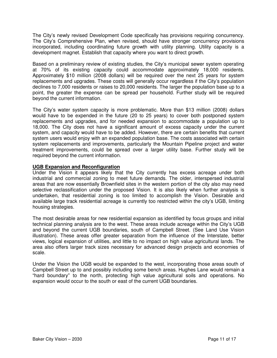The City's newly revised Development Code specifically has provisions requiring concurrency. The City's Comprehensive Plan, when revised, should have stronger concurrency provisions incorporated, including coordinating future growth with utility planning. Utility capacity is a development magnet. Establish that capacity where you want to direct growth.

Based on a preliminary review of existing studies, the City's municipal sewer system operating at 70% of its existing capacity could accommodate approximately 18,000 residents. Approximately \$10 million (2008 dollars) will be required over the next 25 years for system replacements and upgrades. These costs will generally occur regardless if the City's population declines to 7,000 residents or raises to 20,000 residents. The larger the population base up to a point, the greater the expense can be spread per household. Further study will be required beyond the current information.

The City's water system capacity is more problematic. More than \$13 million (2008) dollars would have to be expended in the future (20 to 25 years) to cover both postponed system replacements and upgrades, and for needed expansion to accommodate a population up to 18,000. The City does not have a significant amount of excess capacity under the current system, and capacity would have to be added. However, there are certain benefits that current system users would enjoy with an expanded population base. The costs associated with certain system replacements and improvements, particularly the Mountain Pipeline project and water treatment improvements, could be spread over a larger utility base. Further study will be required beyond the current information.

#### **UGB Expansion and Reconfiguration**

Under the Vision it appears likely that the City currently has excess acreage under both industrial and commercial zoning to meet future demands. The older, interspersed industrial areas that are now essentially Brownfield sites in the western portion of the city also may need selective reclassification under the proposed Vision. It is also likely when further analysis is undertaken, that residential zoning is too limited to accomplish the Vision. Desirable and available large track residential acreage is currently too restricted within the city's UGB, limiting housing strategies.

The most desirable areas for new residential expansion as identified by focus groups and initial technical planning analysis are to the west. These areas include acreage within the City's UGB and beyond the current UGB boundaries, south of Campbell Street. (See Land Use Vision illustration). These areas offer greater separation from the influence of the Interstate, better views, logical expansion of utilities, and little to no impact on high value agricultural lands. The area also offers larger track sizes necessary for advanced design projects and economies of scale.

Under the Vision the UGB would be expanded to the west, incorporating those areas south of Campbell Street up to and possibly including some bench areas. Hughes Lane would remain a "hard boundary" to the north, protecting high value agricultural soils and operations. No expansion would occur to the south or east of the current UGB boundaries.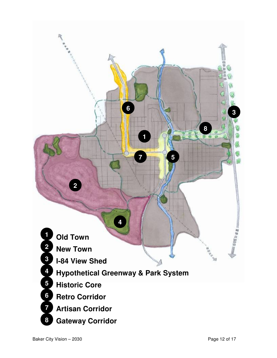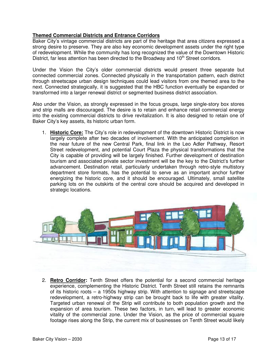## **Themed Commercial Districts and Entrance Corridors**

Baker City's vintage commercial districts are part of the heritage that area citizens expressed a strong desire to preserve. They are also key economic development assets under the right type of redevelopment. While the community has long recognized the value of the Downtown Historic District, far less attention has been directed to the Broadway and 10<sup>th</sup> Street corridors.

Under the Vision the City's older commercial districts would present three separate but connected commercial zones. Connected physically in the transportation pattern, each district through streetscape urban design techniques could lead visitors from one themed area to the next. Connected strategically, it is suggested that the HBC function eventually be expanded or transformed into a larger renewal district or segmented business district association.

Also under the Vision, as strongly expressed in the focus groups, large single-story box stores and strip malls are discouraged. The desire is to retain and enhance retail commercial energy into the existing commercial districts to drive revitalization. It is also designed to retain one of Baker City's key assets, its historic urban form.

1. **Historic Core:** The City's role in redevelopment of the downtown Historic District is now largely complete after two decades of involvement. With the anticipated completion in the near future of the new Central Park, final link in the Leo Adler Pathway, Resort Street redevelopment, and potential Court Plaza the physical transformations that the City is capable of providing will be largely finished. Further development of destination tourism and associated private sector investment will be the key to the District's further advancement. Destination retail, particularly undertaken through retro-style multistory department store formats, has the potential to serve as an important anchor further energizing the historic core, and it should be encouraged. Ultimately, small satellite parking lots on the outskirts of the central core should be acquired and developed in strategic locations.



2. **Retro Corridor:** Tenth Street offers the potential for a second commercial heritage experience, complementing the Historic District. Tenth Street still retains the remnants of its historic roots – a 1950s highway strip. With attention to signage and streetscape redevelopment, a retro-highway strip can be brought back to life with greater vitality. Targeted urban renewal of the Strip will contribute to both population growth and the expansion of area tourism. These two factors, in turn, will lead to greater economic vitality of the commercial zone. Under the Vision, as the price of commercial square footage rises along the Strip, the current mix of businesses on Tenth Street would likely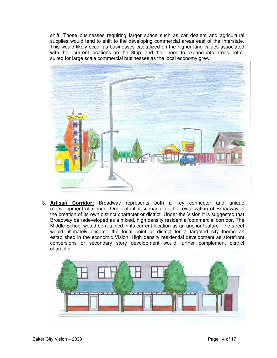shift. Those businesses requiring larger space such as car dealers and agricultural supplies would tend to shift to the developing commercial areas east of the Interstate. This would likely occur as businesses capitalized on the higher land values associated with their current locations on the Strip, and their need to expand into areas better suited for large scale commercial businesses as the local economy grew.



3. **Artisan Corridor:** Broadway represents both a key connector and unique redevelopment challenge. One potential scenario for the revitalization of Broadway is the creation of its own distinct character or district. Under the Vision it is suggested that Broadway be redeveloped as a mixed, high density residential/commercial corridor. The Middle School would be retained in its current location as an anchor feature. The street would ultimately become the focal point or district for a targeted city theme as established in the economic Vision. High density residential development as storefront conversions or secondary story development would further complement district character.

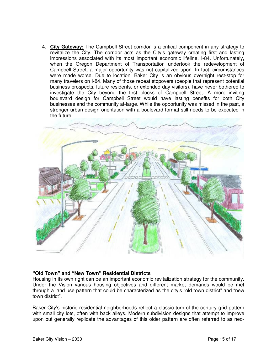4. **City Gateway:** The Campbell Street corridor is a critical component in any strategy to revitalize the City. The corridor acts as the City's gateway creating first and lasting impressions associated with its most important economic lifeline, I-84. Unfortunately, when the Oregon Department of Transportation undertook the redevelopment of Campbell Street, a major opportunity was not capitalized upon. In fact, circumstances were made worse. Due to location, Baker City is an obvious overnight rest-stop for many travelers on I-84. Many of those repeat stopovers (people that represent potential business prospects, future residents, or extended day visitors), have never bothered to investigate the City beyond the first blocks of Campbell Street. A more inviting boulevard design for Campbell Street would have lasting benefits for both City businesses and the community at-large. While the opportunity was missed in the past, a stronger urban design orientation with a boulevard format still needs to be executed in the future.



#### **"Old Town" and "New Town" Residential Districts**

Housing in its own right can be an important economic revitalization strategy for the community. Under the Vision various housing objectives and different market demands would be met through a land use pattern that could be characterized as the city's "old town district" and "new town district".

Baker City's historic residential neighborhoods reflect a classic turn-of-the-century grid pattern with small city lots, often with back alleys. Modern subdivision designs that attempt to improve upon but generally replicate the advantages of this older pattern are often referred to as neo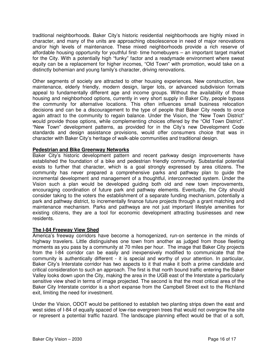traditional neighborhoods. Baker City's historic residential neighborhoods are highly mixed in character, and many of the units are approaching obsolescence in need of major renovations and/or high levels of maintenance. These mixed neighborhoods provide a rich reserve of affordable housing opportunity for youthful first- time homebuyers – an important target market for the City. With a potentially high "funky" factor and a readymade environment where sweat equity can be a replacement for higher incomes, "Old Town" with promotion, would take on a distinctly bohemian and young family's character, driving renovations.

Other segments of society are attracted to other housing experiences. New construction, low maintenance, elderly friendly, modern design, larger lots, or advanced subdivision formats appeal to fundamentally different age and income groups. Without the availability of those housing and neighborhood options, currently in very short supply in Baker City, people bypass the community for alternative locations. This often influences small business relocation decisions and can be a discouragement to the type of people that Baker City needs to once again attract to the community to regain balance. Under the Vision, the "New Town District" would provide those options, while complementing choices offered by the "Old Town District". "New Town" development patterns, as provided for in the City's new Development Code standards and design assistance provisions, would offer consumers choice that was in character with Baker City's heritage of walk-able communities and traditional design.

## **Pedestrian and Bike Greenway Networks**

Baker City's historic development pattern and recent parkway design improvements have established the foundation of a bike and pedestrian friendly community. Substantial potential exists to further that character, which is a goal strongly expressed by area citizens. The community has never prepared a comprehensive parks and pathway plan to guide the incremental development and management of a thoughtful, interconnected system. Under the Vision such a plan would be developed guiding both old and new town improvements, encouraging coordination of future park and pathway elements. Eventually, the City should consider taking to the voters the establishment of a separate funding mechanism, potentially a park and pathway district, to incrementally finance future projects through a grant matching and maintenance mechanism. Parks and pathways are not just important lifestyle amenities for existing citizens, they are a tool for economic development attracting businesses and new residents.

## **The I-84 Freeway View Shed**

America's freeway corridors have become a homogenized, run-on sentence in the minds of highway travelers. Little distinguishes one town from another as judged from those fleeting moments as you pass by a community at 70 miles per hour. The image that Baker City projects from the I-84 corridor can be easily and inexpensively modified to communicate that the community is authentically different - it is special and worthy of your attention. In particular, Baker City's Interstate corridor has two aspects to it that make it both a prime candidate and critical consideration to such an approach. The first is that north bound traffic entering the Baker Valley looks down upon the City, making the area in the UGB east of the Interstate a particularly sensitive view shed in terms of image projected. The second is that the most critical area of the Baker City Interstate corridor is a short expanse from the Campbell Street exit to the Richland exit, limiting the need for investment.

Under the Vision, ODOT would be petitioned to establish two planting strips down the east and west sides of I-84 of equally spaced of low-rise evergreen trees that would not overgrow the site or represent a potential traffic hazard. The landscape planning effect would be that of a soft,